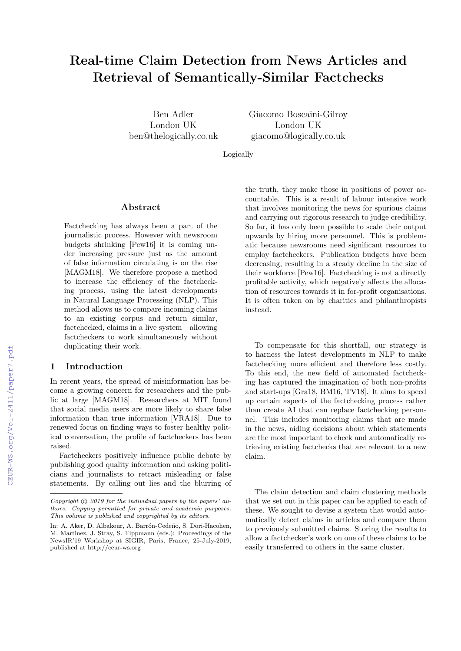# Real-time Claim Detection from News Articles and Retrieval of Semantically-Similar Factchecks

Ben Adler London UK ben@thelogically.co.uk Giacomo Boscaini-Gilroy London UK giacomo@logically.co.uk

Logically

#### Abstract

Factchecking has always been a part of the journalistic process. However with newsroom budgets shrinking [Pew16] it is coming under increasing pressure just as the amount of false information circulating is on the rise [MAGM18]. We therefore propose a method to increase the efficiency of the factchecking process, using the latest developments in Natural Language Processing (NLP). This method allows us to compare incoming claims to an existing corpus and return similar, factchecked, claims in a live system—allowing factcheckers to work simultaneously without duplicating their work.

#### 1 Introduction

In recent years, the spread of misinformation has become a growing concern for researchers and the public at large [MAGM18]. Researchers at MIT found that social media users are more likely to share false information than true information [VRA18]. Due to renewed focus on finding ways to foster healthy political conversation, the profile of factcheckers has been raised.

Factcheckers positively influence public debate by publishing good quality information and asking politicians and journalists to retract misleading or false statements. By calling out lies and the blurring of the truth, they make those in positions of power accountable. This is a result of labour intensive work that involves monitoring the news for spurious claims and carrying out rigorous research to judge credibility. So far, it has only been possible to scale their output upwards by hiring more personnel. This is problematic because newsrooms need significant resources to employ factcheckers. Publication budgets have been decreasing, resulting in a steady decline in the size of their workforce [Pew16]. Factchecking is not a directly profitable activity, which negatively affects the allocation of resources towards it in for-profit organisations. It is often taken on by charities and philanthropists instead.

To compensate for this shortfall, our strategy is to harness the latest developments in NLP to make factchecking more efficient and therefore less costly. To this end, the new field of automated factchecking has captured the imagination of both non-profits and start-ups [Gra18, BM16, TV18]. It aims to speed up certain aspects of the factchecking process rather than create AI that can replace factchecking personnel. This includes monitoring claims that are made in the news, aiding decisions about which statements are the most important to check and automatically retrieving existing factchecks that are relevant to a new claim.

The claim detection and claim clustering methods that we set out in this paper can be applied to each of these. We sought to devise a system that would automatically detect claims in articles and compare them to previously submitted claims. Storing the results to allow a factchecker's work on one of these claims to be easily transferred to others in the same cluster.

Copyright  $\odot$  2019 for the individual papers by the papers' authors. Copying permitted for private and academic purposes. This volume is published and copyrighted by its editors.

In: A. Aker, D. Albakour, A. Barrón-Cedeño, S. Dori-Hacohen, M. Martinez, J. Stray, S. Tippmann (eds.): Proceedings of the NewsIR'19 Workshop at SIGIR, Paris, France, 25-July-2019, published at http://ceur-ws.org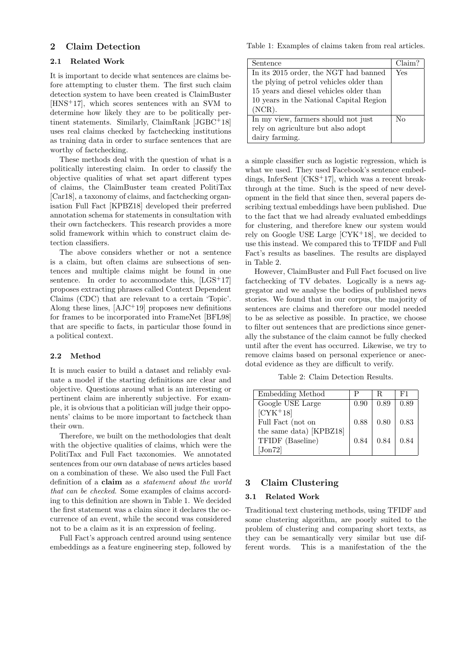#### 2 Claim Detection

#### 2.1 Related Work

It is important to decide what sentences are claims before attempting to cluster them. The first such claim detection system to have been created is ClaimBuster [HNS+17], which scores sentences with an SVM to determine how likely they are to be politically pertinent statements. Similarly, ClaimRank [JGBC+18] uses real claims checked by factchecking institutions as training data in order to surface sentences that are worthy of factchecking.

These methods deal with the question of what is a politically interesting claim. In order to classify the objective qualities of what set apart different types of claims, the ClaimBuster team created PolitiTax [Car18], a taxonomy of claims, and factchecking organisation Full Fact [KPBZ18] developed their preferred annotation schema for statements in consultation with their own factcheckers. This research provides a more solid framework within which to construct claim detection classifiers.

The above considers whether or not a sentence is a claim, but often claims are subsections of sentences and multiple claims might be found in one sentence. In order to accommodate this,  $[LGS^+17]$ proposes extracting phrases called Context Dependent Claims (CDC) that are relevant to a certain 'Topic'. Along these lines,  $[AJC+19]$  proposes new definitions for frames to be incorporated into FrameNet [BFL98] that are specific to facts, in particular those found in a political context.

#### 2.2 Method

It is much easier to build a dataset and reliably evaluate a model if the starting definitions are clear and objective. Questions around what is an interesting or pertinent claim are inherently subjective. For example, it is obvious that a politician will judge their opponents' claims to be more important to factcheck than their own.

Therefore, we built on the methodologies that dealt with the objective qualities of claims, which were the PolitiTax and Full Fact taxonomies. We annotated sentences from our own database of news articles based on a combination of these. We also used the Full Fact definition of a claim as a statement about the world that can be checked. Some examples of claims according to this definition are shown in Table 1. We decided the first statement was a claim since it declares the occurrence of an event, while the second was considered not to be a claim as it is an expression of feeling.

Full Fact's approach centred around using sentence embeddings as a feature engineering step, followed by

Table 1: Examples of claims taken from real articles.

| Sentence                                 | Claim? |
|------------------------------------------|--------|
| In its 2015 order, the NGT had banned    | Yes    |
| the plying of petrol vehicles older than |        |
| 15 years and diesel vehicles older than  |        |
| 10 years in the National Capital Region  |        |
| $(NCR)$ .                                |        |
| In my view, farmers should not just      | No     |
| rely on agriculture but also adopt       |        |
| dairy farming.                           |        |

a simple classifier such as logistic regression, which is what we used. They used Facebook's sentence embeddings, InferSent [CKS+17], which was a recent breakthrough at the time. Such is the speed of new development in the field that since then, several papers describing textual embeddings have been published. Due to the fact that we had already evaluated embeddings for clustering, and therefore knew our system would rely on Google USE Large  $[CYK+18]$ , we decided to use this instead. We compared this to TFIDF and Full Fact's results as baselines. The results are displayed in Table 2.

However, ClaimBuster and Full Fact focused on live factchecking of TV debates. Logically is a news aggregator and we analyse the bodies of published news stories. We found that in our corpus, the majority of sentences are claims and therefore our model needed to be as selective as possible. In practice, we choose to filter out sentences that are predictions since generally the substance of the claim cannot be fully checked until after the event has occurred. Likewise, we try to remove claims based on personal experience or anecdotal evidence as they are difficult to verify.

Table 2: Claim Detection Results.

| Embedding Method                |      | R.   | F1   |
|---------------------------------|------|------|------|
| Google USE Large                | 0.90 | 0.89 | 0.89 |
| $[CYK+18]$                      |      |      |      |
| Full Fact (not on               | 0.88 | 0.80 | 0.83 |
| the same data) [KPBZ18]         |      |      |      |
| TFIDF (Baseline)                | 0.84 | 0.84 | 0.84 |
| $\lbrack \mathrm{Jon}72\rbrack$ |      |      |      |

## 3 Claim Clustering

#### 3.1 Related Work

Traditional text clustering methods, using TFIDF and some clustering algorithm, are poorly suited to the problem of clustering and comparing short texts, as they can be semantically very similar but use different words. This is a manifestation of the the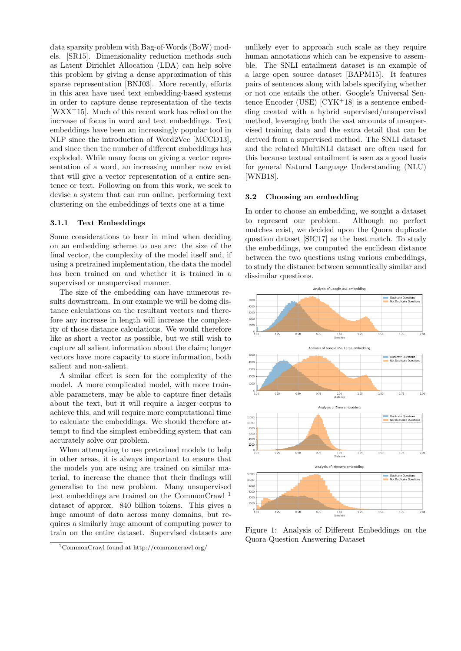data sparsity problem with Bag-of-Words (BoW) models. [SR15]. Dimensionality reduction methods such as Latent Dirichlet Allocation (LDA) can help solve this problem by giving a dense approximation of this sparse representation [BNJ03]. More recently, efforts in this area have used text embedding-based systems in order to capture dense representation of the texts  $[WXX<sup>+</sup>15]$ . Much of this recent work has relied on the increase of focus in word and text embeddings. Text embeddings have been an increasingly popular tool in NLP since the introduction of Word2Vec [MCCD13], and since then the number of different embeddings has exploded. While many focus on giving a vector representation of a word, an increasing number now exist that will give a vector representation of a entire sentence or text. Following on from this work, we seek to devise a system that can run online, performing text clustering on the embeddings of texts one at a time

#### 3.1.1 Text Embeddings

Some considerations to bear in mind when deciding on an embedding scheme to use are: the size of the final vector, the complexity of the model itself and, if using a pretrained implementation, the data the model has been trained on and whether it is trained in a supervised or unsupervised manner.

The size of the embedding can have numerous results downstream. In our example we will be doing distance calculations on the resultant vectors and therefore any increase in length will increase the complexity of those distance calculations. We would therefore like as short a vector as possible, but we still wish to capture all salient information about the claim; longer vectors have more capacity to store information, both salient and non-salient.

A similar effect is seen for the complexity of the model. A more complicated model, with more trainable parameters, may be able to capture finer details about the text, but it will require a larger corpus to achieve this, and will require more computational time to calculate the embeddings. We should therefore attempt to find the simplest embedding system that can accurately solve our problem.

When attempting to use pretrained models to help in other areas, it is always important to ensure that the models you are using are trained on similar material, to increase the chance that their findings will generalise to the new problem. Many unsupervised text embeddings are trained on the CommonCrawl <sup>1</sup> dataset of approx. 840 billion tokens. This gives a huge amount of data across many domains, but requires a similarly huge amount of computing power to train on the entire dataset. Supervised datasets are

unlikely ever to approach such scale as they require human annotations which can be expensive to assemble. The SNLI entailment dataset is an example of a large open source dataset [BAPM15]. It features pairs of sentences along with labels specifying whether or not one entails the other. Google's Universal Sentence Encoder (USE)  $[CYK+18]$  is a sentence embedding created with a hybrid supervised/unsupervised method, leveraging both the vast amounts of unsupervised training data and the extra detail that can be derived from a supervised method. The SNLI dataset and the related MultiNLI dataset are often used for this because textual entailment is seen as a good basis for general Natural Language Understanding (NLU) [WNB18].

#### 3.2 Choosing an embedding

In order to choose an embedding, we sought a dataset to represent our problem. Although no perfect matches exist, we decided upon the Quora duplicate question dataset [SIC17] as the best match. To study the embeddings, we computed the euclidean distance between the two questions using various embeddings, to study the distance between semantically similar and dissimilar questions.



Figure 1: Analysis of Different Embeddings on the Quora Question Answering Dataset

<sup>1</sup>CommonCrawl found at http://commoncrawl.org/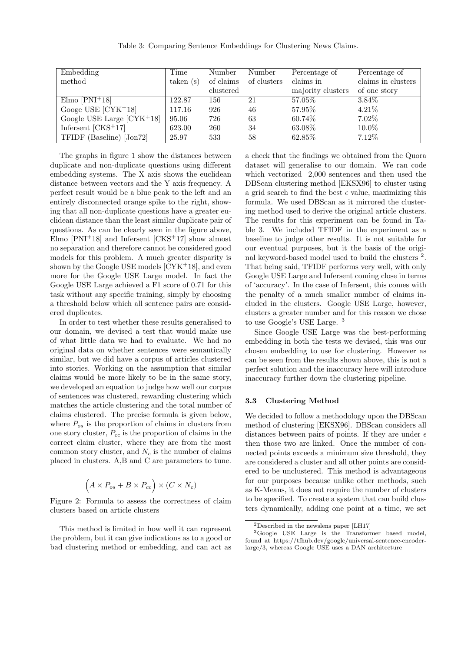| Embedding                   | Time               | Number    | Number      | Percentage of     | Percentage of      |
|-----------------------------|--------------------|-----------|-------------|-------------------|--------------------|
| method                      | $\text{taken (s)}$ | of claims | of clusters | claims in         | claims in clusters |
|                             |                    | clustered |             | majority clusters | of one story       |
| $Elmo [PNI+18]$             | 122.87             | 156       | 21          | 57.05%            | 3.84\%             |
| Googe USE $[CYK+18]$        | 117.16             | 926       | 46          | 57.95%            | $4.21\%$           |
| Google USE Large $[CYK+18]$ | 95.06              | 726       | 63          | 60.74\%           | 7.02%              |
| Infersent $[CKS+17]$        | 623.00             | 260       | 34          | 63.08%            | 10.0%              |
| TFIDF (Baseline) [Jon72]    | 25.97              | 533       | 58          | 62.85%            | 7.12%              |

The graphs in figure 1 show the distances between duplicate and non-duplicate questions using different embedding systems. The X axis shows the euclidean distance between vectors and the Y axis frequency. A perfect result would be a blue peak to the left and an entirely disconnected orange spike to the right, showing that all non-duplicate questions have a greater euclidean distance than the least similar duplicate pair of questions. As can be clearly seen in the figure above, Elmo  $[PNI+18]$  and Infersent  $[CKS+17]$  show almost no separation and therefore cannot be considered good models for this problem. A much greater disparity is shown by the Google USE models  $[CYK+18]$ , and even more for the Google USE Large model. In fact the Google USE Large achieved a F1 score of 0.71 for this task without any specific training, simply by choosing a threshold below which all sentence pairs are considered duplicates.

In order to test whether these results generalised to our domain, we devised a test that would make use of what little data we had to evaluate. We had no original data on whether sentences were semantically similar, but we did have a corpus of articles clustered into stories. Working on the assumption that similar claims would be more likely to be in the same story, we developed an equation to judge how well our corpus of sentences was clustered, rewarding clustering which matches the article clustering and the total number of claims clustered. The precise formula is given below, where  $P_{os}$  is the proportion of claims in clusters from one story cluster,  $P_{cc}$  is the proportion of claims in the correct claim cluster, where they are from the most common story cluster, and  $N_c$  is the number of claims placed in clusters. A,B and C are parameters to tune.

$$
(A \times P_{os} + B \times P_{cc}) \times (C \times N_c)
$$

Figure 2: Formula to assess the correctness of claim clusters based on article clusters

This method is limited in how well it can represent the problem, but it can give indications as to a good or bad clustering method or embedding, and can act as

a check that the findings we obtained from the Quora dataset will generalise to our domain. We ran code which vectorized 2,000 sentences and then used the DBScan clustering method [EKSX96] to cluster using a grid search to find the best  $\epsilon$  value, maximizing this formula. We used DBScan as it mirrored the clustering method used to derive the original article clusters. The results for this experiment can be found in Table 3. We included TFIDF in the experiment as a baseline to judge other results. It is not suitable for our eventual purposes, but it the basis of the original keyword-based model used to build the clusters <sup>2</sup>. That being said, TFIDF performs very well, with only Google USE Large and Infersent coming close in terms of 'accuracy'. In the case of Infersent, this comes with the penalty of a much smaller number of claims included in the clusters. Google USE Large, however, clusters a greater number and for this reason we chose to use Google's USE Large. <sup>3</sup>

Since Google USE Large was the best-performing embedding in both the tests we devised, this was our chosen embedding to use for clustering. However as can be seen from the results shown above, this is not a perfect solution and the inaccuracy here will introduce inaccuracy further down the clustering pipeline.

#### 3.3 Clustering Method

We decided to follow a methodology upon the DBScan method of clustering [EKSX96]. DBScan considers all distances between pairs of points. If they are under  $\epsilon$ then those two are linked. Once the number of connected points exceeds a minimum size threshold, they are considered a cluster and all other points are considered to be unclustered. This method is advantageous for our purposes because unlike other methods, such as K-Means, it does not require the number of clusters to be specified. To create a system that can build clusters dynamically, adding one point at a time, we set

<sup>2</sup>Described in the newslens paper [LH17]

<sup>3</sup>Google USE Large is the Transformer based model, found at https://tfhub.dev/google/universal-sentence-encoderlarge/3, whereas Google USE uses a DAN architecture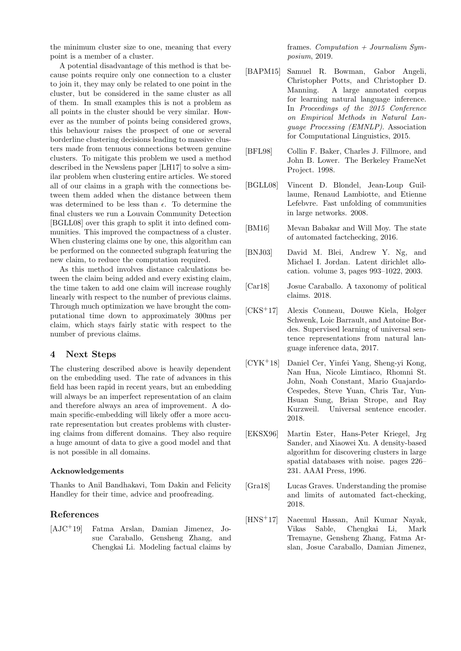the minimum cluster size to one, meaning that every point is a member of a cluster.

A potential disadvantage of this method is that because points require only one connection to a cluster to join it, they may only be related to one point in the cluster, but be considered in the same cluster as all of them. In small examples this is not a problem as all points in the cluster should be very similar. However as the number of points being considered grows, this behaviour raises the prospect of one or several borderline clustering decisions leading to massive clusters made from tenuous connections between genuine clusters. To mitigate this problem we used a method described in the Newslens paper [LH17] to solve a similar problem when clustering entire articles. We stored all of our claims in a graph with the connections between them added when the distance between them was determined to be less than  $\epsilon$ . To determine the final clusters we run a Louvain Community Detection [BGLL08] over this graph to split it into defined communities. This improved the compactness of a cluster. When clustering claims one by one, this algorithm can be performed on the connected subgraph featuring the new claim, to reduce the computation required.

As this method involves distance calculations between the claim being added and every existing claim, the time taken to add one claim will increase roughly linearly with respect to the number of previous claims. Through much optimization we have brought the computational time down to approximately 300ms per claim, which stays fairly static with respect to the number of previous claims.

### 4 Next Steps

The clustering described above is heavily dependent on the embedding used. The rate of advances in this field has been rapid in recent years, but an embedding will always be an imperfect representation of an claim and therefore always an area of improvement. A domain specific-embedding will likely offer a more accurate representation but creates problems with clustering claims from different domains. They also require a huge amount of data to give a good model and that is not possible in all domains.

#### Acknowledgements

Thanks to Anil Bandhakavi, Tom Dakin and Felicity Handley for their time, advice and proofreading.

# References

[AJC<sup>+</sup>19] Fatma Arslan, Damian Jimenez, Josue Caraballo, Gensheng Zhang, and Chengkai Li. Modeling factual claims by

frames. Computation  $+$  Journalism Symposium, 2019.

- [BAPM15] Samuel R. Bowman, Gabor Angeli, Christopher Potts, and Christopher D. Manning. A large annotated corpus for learning natural language inference. In Proceedings of the 2015 Conference on Empirical Methods in Natural Language Processing (EMNLP). Association for Computational Linguistics, 2015.
- [BFL98] Collin F. Baker, Charles J. Fillmore, and John B. Lower. The Berkeley FrameNet Project. 1998.
- [BGLL08] Vincent D. Blondel, Jean-Loup Guillaume, Renaud Lambiotte, and Etienne Lefebvre. Fast unfolding of communities in large networks. 2008.
- [BM16] Mevan Babakar and Will Moy. The state of automated factchecking, 2016.
- [BNJ03] David M. Blei, Andrew Y. Ng, and Michael I. Jordan. Latent dirichlet allocation. volume 3, pages 993–1022, 2003.
- [Car18] Josue Caraballo. A taxonomy of political claims. 2018.
- [CKS+17] Alexis Conneau, Douwe Kiela, Holger Schwenk, Loic Barrault, and Antoine Bordes. Supervised learning of universal sentence representations from natural language inference data, 2017.
- [CYK+18] Daniel Cer, Yinfei Yang, Sheng-yi Kong, Nan Hua, Nicole Limtiaco, Rhomni St. John, Noah Constant, Mario Guajardo-Cespedes, Steve Yuan, Chris Tar, Yun-Hsuan Sung, Brian Strope, and Ray Kurzweil. Universal sentence encoder. 2018.
- [EKSX96] Martin Ester, Hans-Peter Kriegel, Jrg Sander, and Xiaowei Xu. A density-based algorithm for discovering clusters in large spatial databases with noise. pages 226– 231. AAAI Press, 1996.
- [Gra18] Lucas Graves. Understanding the promise and limits of automated fact-checking, 2018.
- [HNS<sup>+</sup>17] Naeemul Hassan, Anil Kumar Nayak, Vikas Sable, Chengkai Li, Mark Tremayne, Gensheng Zhang, Fatma Arslan, Josue Caraballo, Damian Jimenez,